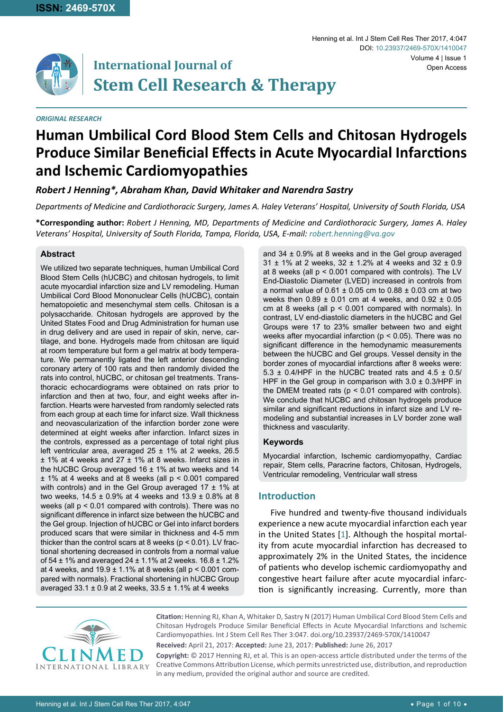

# **International Journal of Stem Cell Research & Therapy**

#### *ORIGINAL RESEARCH*

#### Henning et al. Int J Stem Cell Res Ther 2017, 4:047 Volume 4 | Issue 1 DOI: [10.23937/2469-570X/141004](https://doi.org/10.23937/2469-570X/1410047)7 Open Access

# **Human Umbilical Cord Blood Stem Cells and Chitosan Hydrogels Produce Similar Beneficial Effects in Acute Myocardial Infarctions and Ischemic Cardiomyopathies**

*Robert J Henning\*, Abraham Khan, David Whitaker and Narendra Sastry*

*Departments of Medicine and Cardiothoracic Surgery, James A. Haley Veterans' Hospital, University of South Florida, USA*

**\*Corresponding author:** *Robert J Henning, MD, Departments of Medicine and Cardiothoracic Surgery, James A. Haley Veterans' Hospital, University of South Florida, Tampa, Florida, USA, E-mail: robert.henning@va.gov*

# **Abstract**

We utilized two separate techniques, human Umbilical Cord Blood Stem Cells (hUCBC) and chitosan hydrogels, to limit acute myocardial infarction size and LV remodeling. Human Umbilical Cord Blood Mononuclear Cells (hUCBC), contain hematopoietic and mesenchymal stem cells. Chitosan is a polysaccharide. Chitosan hydrogels are approved by the United States Food and Drug Administration for human use in drug delivery and are used in repair of skin, nerve, cartilage, and bone. Hydrogels made from chitosan are liquid at room temperature but form a gel matrix at body temperature. We permanently ligated the left anterior descending coronary artery of 100 rats and then randomly divided the rats into control, hUCBC, or chitosan gel treatments. Transthoracic echocardiograms were obtained on rats prior to infarction and then at two, four, and eight weeks after infarction. Hearts were harvested from randomly selected rats from each group at each time for infarct size. Wall thickness and neovascularization of the infarction border zone were determined at eight weeks after infarction. Infarct sizes in the controls, expressed as a percentage of total right plus left ventricular area, averaged  $25 \pm 1\%$  at 2 weeks, 26.5 ± 1% at 4 weeks and 27 ± 1% at 8 weeks. Infarct sizes in the hUCBC Group averaged 16  $\pm$  1% at two weeks and 14 ± 1% at 4 weeks and at 8 weeks (all p < 0.001 compared with controls) and in the Gel Group averaged 17  $\pm$  1% at two weeks, 14.5 ± 0.9% at 4 weeks and 13.9 ± 0.8% at 8 weeks (all p < 0.01 compared with controls). There was no significant difference in infarct size between the hUCBC and the Gel group. Injection of hUCBC or Gel into infarct borders produced scars that were similar in thickness and 4-5 mm thicker than the control scars at 8 weeks ( $p < 0.01$ ). LV fractional shortening decreased in controls from a normal value of 54 ± 1% and averaged 24 ± 1.1% at 2 weeks. 16.8 ± 1.2% at 4 weeks, and  $19.9 \pm 1.1\%$  at 8 weeks (all  $p < 0.001$  compared with normals). Fractional shortening in hUCBC Group averaged  $33.1 \pm 0.9$  at 2 weeks,  $33.5 \pm 1.1\%$  at 4 weeks

and 34 ± 0.9% at 8 weeks and in the Gel group averaged  $31 \pm 1\%$  at 2 weeks,  $32 \pm 1.2\%$  at 4 weeks and  $32 \pm 0.9$ at 8 weeks (all p < 0.001 compared with controls). The LV End-Diastolic Diameter (LVED) increased in controls from a normal value of  $0.61 \pm 0.05$  cm to  $0.88 \pm 0.03$  cm at two weeks then  $0.89 \pm 0.01$  cm at 4 weeks, and  $0.92 \pm 0.05$ cm at 8 weeks (all p < 0.001 compared with normals). In contrast, LV end-diastolic diameters in the hUCBC and Gel Groups were 17 to 23% smaller between two and eight weeks after myocardial infarction ( $p < 0.05$ ). There was no significant difference in the hemodynamic measurements between the hUCBC and Gel groups. Vessel density in the border zones of myocardial infarctions after 8 weeks were: 5.3  $\pm$  0.4/HPF in the hUCBC treated rats and 4.5  $\pm$  0.5/ HPF in the Gel group in comparison with  $3.0 \pm 0.3$ /HPF in the DMEM treated rats ( $p < 0.01$  compared with controls). We conclude that hUCBC and chitosan hydrogels produce similar and significant reductions in infarct size and LV remodeling and substantial increases in LV border zone wall thickness and vascularity.

#### **Keywords**

Myocardial infarction, Ischemic cardiomyopathy, Cardiac repair, Stem cells, Paracrine factors, Chitosan, Hydrogels, Ventricular remodeling, Ventricular wall stress

# **Introduction**

Five hundred and twenty-five thousand individuals experience a new acute myocardial infarction each year in the United States [\[1\]](#page-8-0). Although the hospital mortality from acute myocardial infarction has decreased to approximately 2% in the United States, the incidence of patients who develop ischemic cardiomyopathy and congestive heart failure after acute myocardial infarction is significantly increasing. Currently, more than



**Citation:** Henning RJ, Khan A, Whitaker D, Sastry N (2017) Human Umbilical Cord Blood Stem Cells and Chitosan Hydrogels Produce Similar Beneficial Effects in Acute Myocardial Infarctions and Ischemic Cardiomyopathies. Int J Stem Cell Res Ther 3:047. [doi.org/10.23937/2469-570X/1410047](https://doi.org/10.23937/2469-570X/1410047) **Received:** April 21, 2017: **Accepted:** June 23, 2017: **Published:** June 26, 2017

**Copyright:** © 2017 Henning RJ, et al. This is an open-access article distributed under the terms of the Creative Commons Attribution License, which permits unrestricted use, distribution, and reproduction in any medium, provided the original author and source are credited.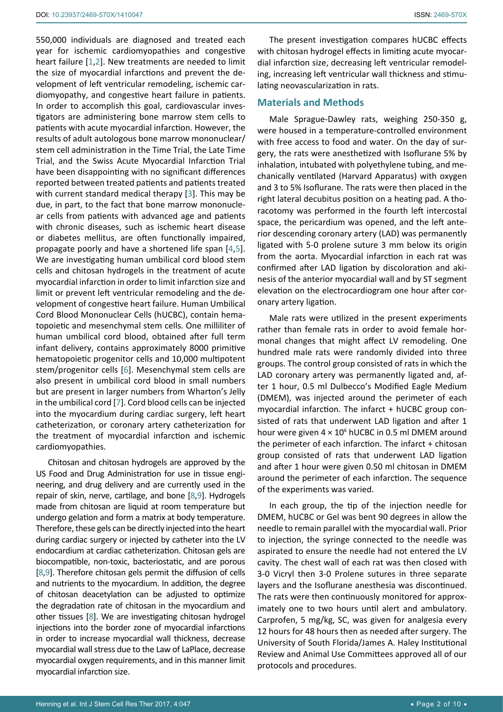550,000 individuals are diagnosed and treated each year for ischemic cardiomyopathies and congestive heart failure [[1](#page-8-0),[2](#page-8-1)]. New treatments are needed to limit the size of myocardial infarctions and prevent the development of left ventricular remodeling, ischemic cardiomyopathy, and congestive heart failure in patients. In order to accomplish this goal, cardiovascular investigators are administering bone marrow stem cells to patients with acute myocardial infarction. However, the results of adult autologous bone marrow mononuclear/ stem cell administration in the Time Trial, the Late Time Trial, and the Swiss Acute Myocardial Infarction Trial have been disappointing with no significant differences reported between treated patients and patients treated with current standard medical therapy [\[3\]](#page-8-2). This may be due, in part, to the fact that bone marrow mononuclear cells from patients with advanced age and patients with chronic diseases, such as ischemic heart disease or diabetes mellitus, are often functionally impaired, propagate poorly and have a shortened life span [[4](#page-8-3),[5](#page-8-4)]. We are investigating human umbilical cord blood stem cells and chitosan hydrogels in the treatment of acute myocardial infarction in order to limit infarction size and limit or prevent left ventricular remodeling and the development of congestive heart failure. Human Umbilical Cord Blood Mononuclear Cells (hUCBC), contain hematopoietic and mesenchymal stem cells. One milliliter of human umbilical cord blood, obtained after full term infant delivery, contains approximately 8000 primitive hematopoietic progenitor cells and 10,000 multipotent stem/progenitor cells [\[6\]](#page-8-5). Mesenchymal stem cells are also present in umbilical cord blood in small numbers but are present in larger numbers from Wharton's Jelly in the umbilical cord [[7](#page-8-6)]. Cord blood cells can be injected into the myocardium during cardiac surgery, left heart catheterization, or coronary artery catheterization for the treatment of myocardial infarction and ischemic cardiomyopathies.

Chitosan and chitosan hydrogels are approved by the US Food and Drug Administration for use in tissue engineering, and drug delivery and are currently used in the repair of skin, nerve, cartilage, and bone [\[8](#page-8-7),[9](#page-8-8)]. Hydrogels made from chitosan are liquid at room temperature but undergo gelation and form a matrix at body temperature. Therefore, these gels can be directly injected into the heart during cardiac surgery or injected by catheter into the LV endocardium at cardiac catheterization. Chitosan gels are biocompatible, non-toxic, bacteriostatic, and are porous [[8](#page-8-7),[9\]](#page-8-8). Therefore chitosan gels permit the diffusion of cells and nutrients to the myocardium. In addition, the degree of chitosan deacetylation can be adjusted to optimize the degradation rate of chitosan in the myocardium and other tissues [\[8](#page-8-7)]. We are investigating chitosan hydrogel injections into the border zone of myocardial infarctions in order to increase myocardial wall thickness, decrease myocardial wall stress due to the Law of LaPlace, decrease myocardial oxygen requirements, and in this manner limit myocardial infarction size.

The present investigation compares hUCBC effects with chitosan hydrogel effects in limiting acute myocardial infarction size, decreasing left ventricular remodeling, increasing left ventricular wall thickness and stimulating neovascularization in rats.

#### **Materials and Methods**

Male Sprague-Dawley rats, weighing 250-350 g, were housed in a temperature-controlled environment with free access to food and water. On the day of surgery, the rats were anesthetized with Isoflurane 5% by inhalation, intubated with polyethylene tubing, and mechanically ventilated (Harvard Apparatus) with oxygen and 3 to 5% Isoflurane. The rats were then placed in the right lateral decubitus position on a heating pad. A thoracotomy was performed in the fourth left intercostal space, the pericardium was opened, and the left anterior descending coronary artery (LAD) was permanently ligated with 5-0 prolene suture 3 mm below its origin from the aorta. Myocardial infarction in each rat was confirmed after LAD ligation by discoloration and akinesis of the anterior myocardial wall and by ST segment elevation on the electrocardiogram one hour after coronary artery ligation.

Male rats were utilized in the present experiments rather than female rats in order to avoid female hormonal changes that might affect LV remodeling. One hundred male rats were randomly divided into three groups. The control group consisted of rats in which the LAD coronary artery was permanently ligated and, after 1 hour, 0.5 ml Dulbecco's Modified Eagle Medium (DMEM), was injected around the perimeter of each myocardial infarction. The infarct + hUCBC group consisted of rats that underwent LAD ligation and after 1 hour were given  $4 \times 10^6$  hUCBC in 0.5 ml DMEM around the perimeter of each infarction. The infarct + chitosan group consisted of rats that underwent LAD ligation and after 1 hour were given 0.50 ml chitosan in DMEM around the perimeter of each infarction. The sequence of the experiments was varied.

In each group, the tip of the injection needle for DMEM, hUCBC or Gel was bent 90 degrees in allow the needle to remain parallel with the myocardial wall. Prior to injection, the syringe connected to the needle was aspirated to ensure the needle had not entered the LV cavity. The chest wall of each rat was then closed with 3-0 Vicryl then 3-0 Prolene sutures in three separate layers and the Isoflurane anesthesia was discontinued. The rats were then continuously monitored for approximately one to two hours until alert and ambulatory. Carprofen, 5 mg/kg, SC, was given for analgesia every 12 hours for 48 hours then as needed after surgery. The University of South Florida/James A. Haley Institutional Review and Animal Use Committees approved all of our protocols and procedures.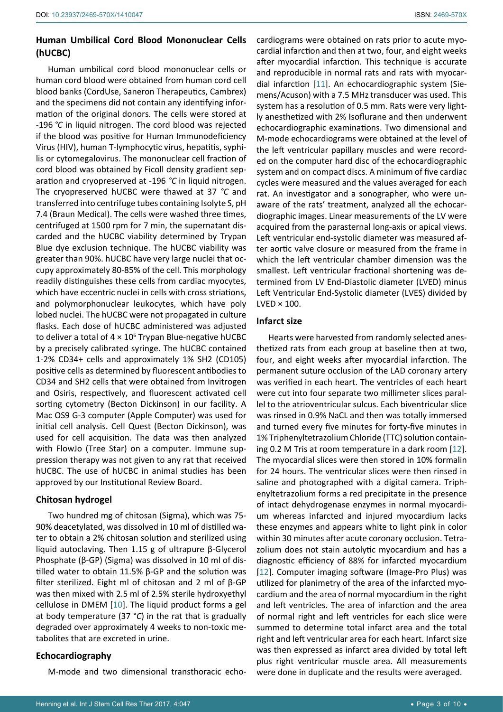# **Human Umbilical Cord Blood Mononuclear Cells (hUCBC)**

Human umbilical cord blood mononuclear cells or human cord blood were obtained from human cord cell blood banks (CordUse, Saneron Therapeutics, Cambrex) and the specimens did not contain any identifying information of the original donors. The cells were stored at -196 *°C* in liquid nitrogen. The cord blood was rejected if the blood was positive for Human Immunodeficiency Virus (HIV), human T‑lymphocytic virus, hepatitis, syphilis or cytomegalovirus. The mononuclear cell fraction of cord blood was obtained by Ficoll density gradient separation and cryopreserved at -196 *°C* in liquid nitrogen. The cryopreserved hUCBC were thawed at 37 *°C* and transferred into centrifuge tubes containing Isolyte S, pH 7.4 (Braun Medical). The cells were washed three times, centrifuged at 1500 rpm for 7 min, the supernatant discarded and the hUCBC viability determined by Trypan Blue dye exclusion technique. The hUCBC viability was greater than 90%. hUCBC have very large nuclei that occupy approximately 80-85% of the cell. This morphology readily distinguishes these cells from cardiac myocytes, which have eccentric nuclei in cells with cross striations, and polymorphonuclear leukocytes, which have poly lobed nuclei. The hUCBC were not propagated in culture flasks. Each dose of hUCBC administered was adjusted to deliver a total of  $4 \times 10^6$  Trypan Blue-negative hUCBC by a precisely calibrated syringe. The hUCBC contained 1-2% CD34+ cells and approximately 1% SH2 (CD105) positive cells as determined by fluorescent antibodies to CD34 and SH2 cells that were obtained from Invitrogen and Osiris, respectively, and fluorescent activated cell sorting cytometry (Becton Dickinson) in our facility. A Mac OS9 G‑3 computer (Apple Computer) was used for initial cell analysis. Cell Quest (Becton Dickinson), was used for cell acquisition. The data was then analyzed with FlowJo (Tree Star) on a computer. Immune suppression therapy was not given to any rat that received hUCBC. The use of hUCBC in animal studies has been approved by our Institutional Review Board.

# **Chitosan hydrogel**

Two hundred mg of chitosan (Sigma), which was 75- 90% deacetylated, was dissolved in 10 ml of distilled water to obtain a 2% chitosan solution and sterilized using liquid autoclaving. Then 1.15 g of ultrapure β-Glycerol Phosphate (β-GP) (Sigma) was dissolved in 10 ml of distilled water to obtain 11.5% β-GP and the solution was filter sterilized. Eight ml of chitosan and 2 ml of β-GP was then mixed with 2.5 ml of 2.5% sterile hydroxyethyl cellulose in DMEM [[10](#page-8-9)]. The liquid product forms a gel at body temperature (37 °*C*) in the rat that is gradually degraded over approximately 4 weeks to non-toxic metabolites that are excreted in urine.

# **Echocardiography**

M-mode and two dimensional transthoracic echo-

cardiograms were obtained on rats prior to acute myocardial infarction and then at two, four, and eight weeks after myocardial infarction. This technique is accurate and reproducible in normal rats and rats with myocardial infarction [[11](#page-8-10)]. An echocardiographic system (Siemens/Acuson) with a 7.5 MHz transducer was used. This system has a resolution of 0.5 mm. Rats were very lightly anesthetized with 2% Isoflurane and then underwent echocardiographic examinations. Two dimensional and M-mode echocardiograms were obtained at the level of the left ventricular papillary muscles and were recorded on the computer hard disc of the echocardiographic system and on compact discs. A minimum of five cardiac cycles were measured and the values averaged for each rat. An investigator and a sonographer, who were unaware of the rats' treatment, analyzed all the echocardiographic images. Linear measurements of the LV were acquired from the parasternal long-axis or apical views. Left ventricular end-systolic diameter was measured after aortic valve closure or measured from the frame in which the left ventricular chamber dimension was the smallest. Left ventricular fractional shortening was determined from LV End-Diastolic diameter (LVED) minus Left Ventricular End-Systolic diameter (LVES) divided by  $LVED \times 100$ .

# **Infarct size**

Hearts were harvested from randomly selected anesthetized rats from each group at baseline then at two, four, and eight weeks after myocardial infarction. The permanent suture occlusion of the LAD coronary artery was verified in each heart. The ventricles of each heart were cut into four separate two millimeter slices parallel to the atrioventricular sulcus. Each biventricular slice was rinsed in 0.9% NaCL and then was totally immersed and turned every five minutes for forty-five minutes in 1% Triphenyltetrazolium Chloride (TTC) solution containing 0.2 M Tris at room temperature in a dark room [[12\]](#page-8-11). The myocardial slices were then stored in 10% formalin for 24 hours. The ventricular slices were then rinsed in saline and photographed with a digital camera. Triphenyltetrazolium forms a red precipitate in the presence of intact dehydrogenase enzymes in normal myocardium whereas infarcted and injured myocardium lacks these enzymes and appears white to light pink in color within 30 minutes after acute coronary occlusion. Tetrazolium does not stain autolytic myocardium and has a diagnostic efficiency of 88% for infarcted myocardium [\[12](#page-8-11)]. Computer imaging software (Image-Pro Plus) was utilized for planimetry of the area of the infarcted myocardium and the area of normal myocardium in the right and left ventricles. The area of infarction and the area of normal right and left ventricles for each slice were summed to determine total infarct area and the total right and left ventricular area for each heart. Infarct size was then expressed as infarct area divided by total left plus right ventricular muscle area. All measurements were done in duplicate and the results were averaged.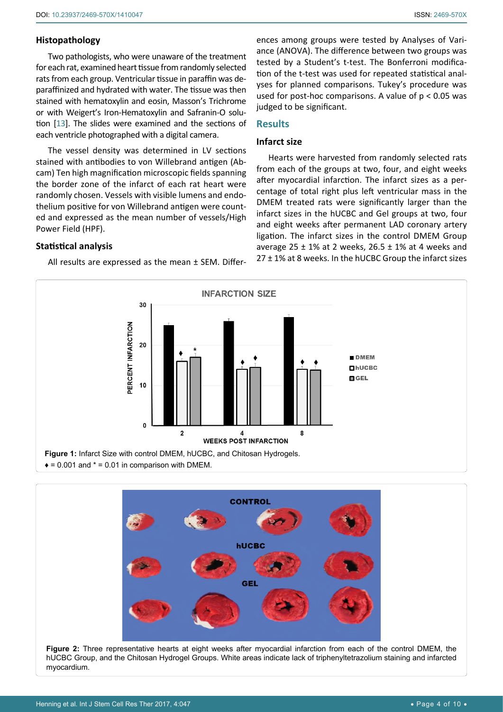# **Histopathology**

Two pathologists, who were unaware of the treatment for each rat, examined heart tissue from randomly selected rats from each group. Ventricular tissue in paraffin was deparaffinized and hydrated with water. The tissue was then stained with hematoxylin and eosin, Masson's Trichrome or with Weigert's Iron-Hematoxylin and Safranin-O solution [[13](#page-8-12)]. The slides were examined and the sections of each ventricle photographed with a digital camera.

The vessel density was determined in LV sections stained with antibodies to von Willebrand antigen (Abcam) Ten high magnification microscopic fields spanning the border zone of the infarct of each rat heart were randomly chosen. Vessels with visible lumens and endothelium positive for von Willebrand antigen were counted and expressed as the mean number of vessels/High Power Field (HPF).

**Statistical analysis**

All results are expressed as the mean ± SEM. Differ-

ences among groups were tested by Analyses of Variance (ANOVA). The difference between two groups was tested by a Student's t-test. The Bonferroni modification of the t-test was used for repeated statistical analyses for planned comparisons. Tukey's procedure was used for post-hoc comparisons. A value of  $p < 0.05$  was judged to be significant.

# **Results**

#### **Infarct size**

Hearts were harvested from randomly selected rats from each of the groups at two, four, and eight weeks after myocardial infarction. The infarct sizes as a percentage of total right plus left ventricular mass in the DMEM treated rats were significantly larger than the infarct sizes in the hUCBC and Gel groups at two, four and eight weeks after permanent LAD coronary artery ligation. The infarct sizes in the control DMEM Group average 25  $\pm$  1% at 2 weeks, 26.5  $\pm$  1% at 4 weeks and  $27 \pm 1\%$  at 8 weeks. In the hUCBC Group the infarct sizes

<span id="page-3-0"></span>

<span id="page-3-1"></span>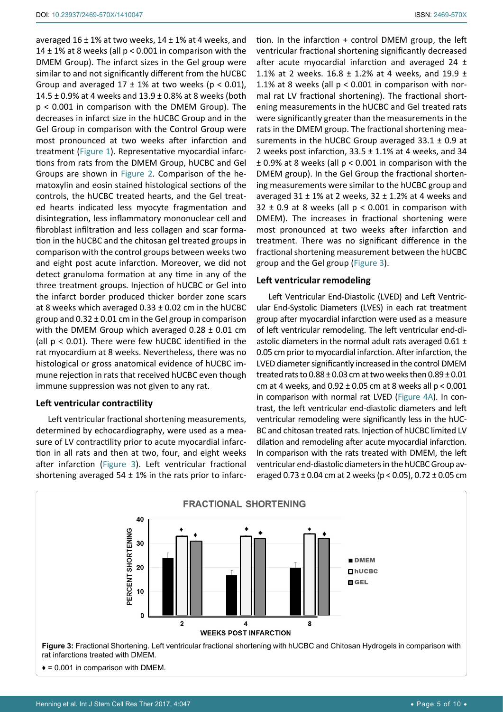averaged  $16 \pm 1\%$  at two weeks,  $14 \pm 1\%$  at 4 weeks, and 14  $\pm$  1% at 8 weeks (all p < 0.001 in comparison with the DMEM Group). The infarct sizes in the Gel group were similar to and not significantly different from the hUCBC Group and averaged  $17 \pm 1\%$  at two weeks (p < 0.01), 14.5  $\pm$  0.9% at 4 weeks and 13.9  $\pm$  0.8% at 8 weeks (both p < 0.001 in comparison with the DMEM Group). The decreases in infarct size in the hUCBC Group and in the Gel Group in comparison with the Control Group were most pronounced at two weeks after infarction and treatment [\(Figure 1](#page-3-0)). Representative myocardial infarctions from rats from the DMEM Group, hUCBC and Gel Groups are shown in [Figure 2](#page-3-1). Comparison of the hematoxylin and eosin stained histological sections of the controls, the hUCBC treated hearts, and the Gel treated hearts indicated less myocyte fragmentation and disintegration, less inflammatory mononuclear cell and fibroblast infiltration and less collagen and scar formation in the hUCBC and the chitosan gel treated groups in comparison with the control groups between weeks two and eight post acute infarction. Moreover, we did not detect granuloma formation at any time in any of the three treatment groups. Injection of hUCBC or Gel into the infarct border produced thicker border zone scars at 8 weeks which averaged  $0.33 \pm 0.02$  cm in the hUCBC group and  $0.32 \pm 0.01$  cm in the Gel group in comparison with the DMEM Group which averaged  $0.28 \pm 0.01$  cm (all p < 0.01). There were few hUCBC identified in the rat myocardium at 8 weeks. Nevertheless, there was no histological or gross anatomical evidence of hUCBC immune rejection in rats that received hUCBC even though immune suppression was not given to any rat.

# **Left ventricular contractility**

Left ventricular fractional shortening measurements, determined by echocardiography, were used as a measure of LV contractility prior to acute myocardial infarction in all rats and then at two, four, and eight weeks after infarction ([Figure 3\)](#page-4-0). Left ventricular fractional shortening averaged 54  $\pm$  1% in the rats prior to infarction. In the infarction + control DMEM group, the left ventricular fractional shortening significantly decreased after acute myocardial infarction and averaged  $24 \pm$ 1.1% at 2 weeks. 16.8  $\pm$  1.2% at 4 weeks, and 19.9  $\pm$ 1.1% at 8 weeks (all p < 0.001 in comparison with normal rat LV fractional shortening). The fractional shortening measurements in the hUCBC and Gel treated rats were significantly greater than the measurements in the rats in the DMEM group. The fractional shortening measurements in the hUCBC Group averaged  $33.1 \pm 0.9$  at 2 weeks post infarction,  $33.5 \pm 1.1\%$  at 4 weeks, and 34  $\pm$  0.9% at 8 weeks (all  $p < 0.001$  in comparison with the DMEM group). In the Gel Group the fractional shortening measurements were similar to the hUCBC group and averaged  $31 \pm 1\%$  at 2 weeks,  $32 \pm 1.2\%$  at 4 weeks and  $32 \pm 0.9$  at 8 weeks (all  $p < 0.001$  in comparison with DMEM). The increases in fractional shortening were most pronounced at two weeks after infarction and treatment. There was no significant difference in the fractional shortening measurement between the hUCBC group and the Gel group ([Figure 3](#page-4-0)).

## **Left ventricular remodeling**

Left Ventricular End-Diastolic (LVED) and Left Ventricular End-Systolic Diameters (LVES) in each rat treatment group after myocardial infarction were used as a measure of left ventricular remodeling. The left ventricular end-diastolic diameters in the normal adult rats averaged  $0.61 \pm 1$ 0.05 cm prior to myocardial infarction. After infarction, the LVED diameter significantly increased in the control DMEM treated rats to  $0.88 \pm 0.03$  cm at two weeks then  $0.89 \pm 0.01$ cm at 4 weeks, and  $0.92 \pm 0.05$  cm at 8 weeks all p <  $0.001$ in comparison with normal rat LVED [\(Figure 4A\)](#page-5-0). In contrast, the left ventricular end-diastolic diameters and left ventricular remodeling were significantly less in the hUC-BC and chitosan treated rats. Injection of hUCBC limited LV dilation and remodeling after acute myocardial infarction. In comparison with the rats treated with DMEM, the left ventricular end-diastolic diameters in the hUCBC Group averaged  $0.73 \pm 0.04$  cm at 2 weeks (p < 0.05),  $0.72 \pm 0.05$  cm

<span id="page-4-0"></span>

 $\bullet$  = 0.001 in comparison with DMEM.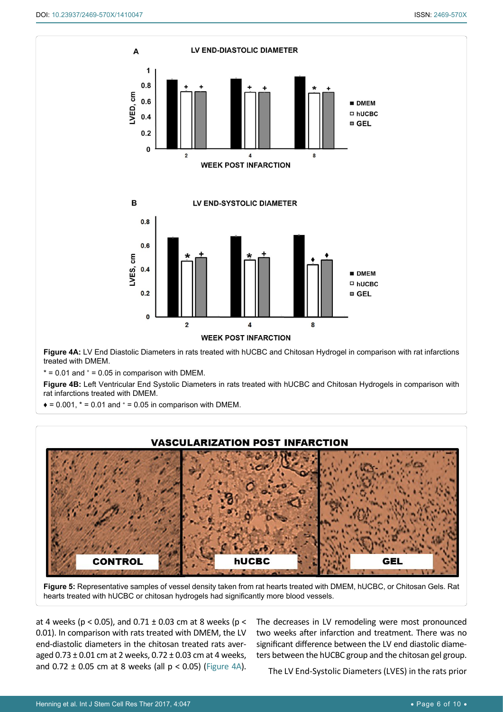<span id="page-5-0"></span>

**Figure 4B:** Left Ventricular End Systolic Diameters in rats treated with hUCBC and Chitosan Hydrogels in comparison with rat infarctions treated with DMEM.

 $\bullet$  = 0.001,  $*$  = 0.01 and  $*$  = 0.05 in comparison with DMEM.

<span id="page-5-1"></span>Ĩ





**Figure 5:** Representative samples of vessel density taken from rat hearts treated with DMEM, hUCBC, or Chitosan Gels. Rat hearts treated with hUCBC or chitosan hydrogels had significantly more blood vessels.

at 4 weeks ( $p < 0.05$ ), and  $0.71 \pm 0.03$  cm at 8 weeks ( $p <$ 0.01). In comparison with rats treated with DMEM, the LV end-diastolic diameters in the chitosan treated rats averaged  $0.73 \pm 0.01$  cm at 2 weeks,  $0.72 \pm 0.03$  cm at 4 weeks, and  $0.72 \pm 0.05$  cm at 8 weeks (all  $p < 0.05$ ) [\(Figure 4A](#page-5-0)).

The decreases in LV remodeling were most pronounced two weeks after infarction and treatment. There was no significant difference between the LV end diastolic diameters between the hUCBC group and the chitosan gel group.

The LV End-Systolic Diameters (LVES) in the rats prior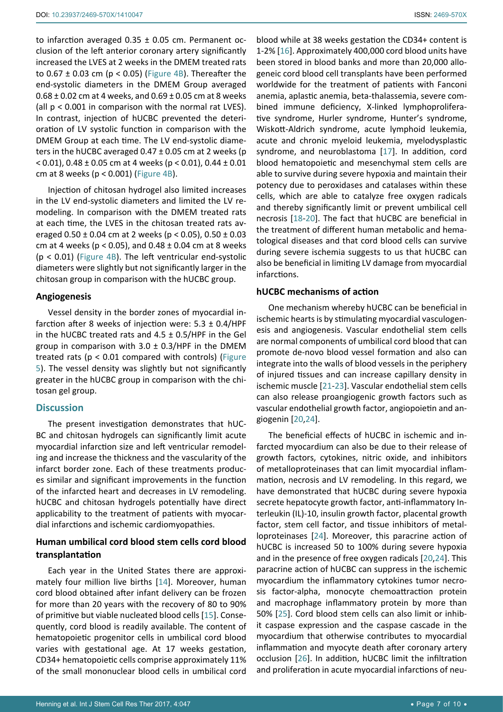to infarction averaged  $0.35 \pm 0.05$  cm. Permanent occlusion of the left anterior coronary artery significantly increased the LVES at 2 weeks in the DMEM treated rats to  $0.67 \pm 0.03$  cm (p < 0.05) ([Figure 4B](#page-5-0)). Thereafter the end-systolic diameters in the DMEM Group averaged  $0.68 \pm 0.02$  cm at 4 weeks, and  $0.69 \pm 0.05$  cm at 8 weeks (all p < 0.001 in comparison with the normal rat LVES). In contrast, injection of hUCBC prevented the deterioration of LV systolic function in comparison with the DMEM Group at each time. The LV end-systolic diameters in the hUCBC averaged  $0.47 \pm 0.05$  cm at 2 weeks (p  $<$  0.01), 0.48 ± 0.05 cm at 4 weeks (p  $<$  0.01), 0.44 ± 0.01 cm at 8 weeks ( $p < 0.001$ ) [\(Figure 4B](#page-5-0)).

Injection of chitosan hydrogel also limited increases in the LV end-systolic diameters and limited the LV remodeling. In comparison with the DMEM treated rats at each time, the LVES in the chitosan treated rats averaged  $0.50 \pm 0.04$  cm at 2 weeks (p < 0.05),  $0.50 \pm 0.03$ cm at 4 weeks ( $p < 0.05$ ), and  $0.48 \pm 0.04$  cm at 8 weeks (p < 0.01) ([Figure 4B\)](#page-5-0). The left ventricular end-systolic diameters were slightly but not significantly larger in the chitosan group in comparison with the hUCBC group.

#### **Angiogenesis**

Vessel density in the border zones of myocardial infarction after 8 weeks of injection were:  $5.3 \pm 0.4$ /HPF in the hUCBC treated rats and  $4.5 \pm 0.5$ /HPF in the Gel group in comparison with  $3.0 \pm 0.3$ /HPF in the DMEM treated rats (p < 0.01 compared with controls) ([Figure](#page-5-1)  [5](#page-5-1)). The vessel density was slightly but not significantly greater in the hUCBC group in comparison with the chitosan gel group.

#### **Discussion**

The present investigation demonstrates that hUC-BC and chitosan hydrogels can significantly limit acute myocardial infarction size and left ventricular remodeling and increase the thickness and the vascularity of the infarct border zone. Each of these treatments produces similar and significant improvements in the function of the infarcted heart and decreases in LV remodeling. hUCBC and chitosan hydrogels potentially have direct applicability to the treatment of patients with myocardial infarctions and ischemic cardiomyopathies.

# **Human umbilical cord blood stem cells cord blood transplantation**

Each year in the United States there are approximately four million live births [[14\]](#page-9-9). Moreover, human cord blood obtained after infant delivery can be frozen for more than 20 years with the recovery of 80 to 90% of primitive but viable nucleated blood cells [[15](#page-9-10)]. Consequently, cord blood is readily available. The content of hematopoietic progenitor cells in umbilical cord blood varies with gestational age. At 17 weeks gestation, CD34+ hematopoietic cells comprise approximately 11% of the small mononuclear blood cells in umbilical cord

blood while at 38 weeks gestation the CD34+ content is 1-2% [[16\]](#page-9-0). Approximately 400,000 cord blood units have been stored in blood banks and more than 20,000 allogeneic cord blood cell transplants have been performed worldwide for the treatment of patients with Fanconi anemia, aplastic anemia, beta-thalassemia, severe combined immune deficiency, X-linked lymphoproliferative syndrome, Hurler syndrome, Hunter's syndrome, Wiskott-Aldrich syndrome, acute lymphoid leukemia, acute and chronic myeloid leukemia, myelodysplastic syndrome, and neuroblastoma [\[17](#page-9-1)]. In addition, cord blood hematopoietic and mesenchymal stem cells are able to survive during severe hypoxia and maintain their potency due to peroxidases and catalases within these cells, which are able to catalyze free oxygen radicals and thereby significantly limit or prevent umbilical cell necrosis [[18](#page-9-2)-[20](#page-9-3)]. The fact that hUCBC are beneficial in the treatment of different human metabolic and hematological diseases and that cord blood cells can survive during severe ischemia suggests to us that hUCBC can also be beneficial in limiting LV damage from myocardial infarctions.

#### **hUCBC mechanisms of action**

One mechanism whereby hUCBC can be beneficial in ischemic hearts is by stimulating myocardial vasculogenesis and angiogenesis. Vascular endothelial stem cells are normal components of umbilical cord blood that can promote de-novo blood vessel formation and also can integrate into the walls of blood vessels in the periphery of injured tissues and can increase capillary density in ischemic muscle [[21](#page-9-4)[-23](#page-9-5)]. Vascular endothelial stem cells can also release proangiogenic growth factors such as vascular endothelial growth factor, angiopoietin and angiogenin [[20,](#page-9-3)[24](#page-9-6)].

The beneficial effects of hUCBC in ischemic and infarcted myocardium can also be due to their release of growth factors, cytokines, nitric oxide, and inhibitors of metalloproteinases that can limit myocardial inflammation, necrosis and LV remodeling. In this regard, we have demonstrated that hUCBC during severe hypoxia secrete hepatocyte growth factor, anti-inflammatory Interleukin (IL)-10, insulin growth factor, placental growth factor, stem cell factor, and tissue inhibitors of metalloproteinases [[24\]](#page-9-6). Moreover, this paracrine action of hUCBC is increased 50 to 100% during severe hypoxia and in the presence of free oxygen radicals [[20](#page-9-3),[24](#page-9-6)]. This paracrine action of hUCBC can suppress in the ischemic myocardium the inflammatory cytokines tumor necrosis factor-alpha, monocyte chemoattraction protein and macrophage inflammatory protein by more than 50% [\[25](#page-9-7)]. Cord blood stem cells can also limit or inhibit caspase expression and the caspase cascade in the myocardium that otherwise contributes to myocardial inflammation and myocyte death after coronary artery occlusion [[26\]](#page-9-8). In addition, hUCBC limit the infiltration and proliferation in acute myocardial infarctions of neu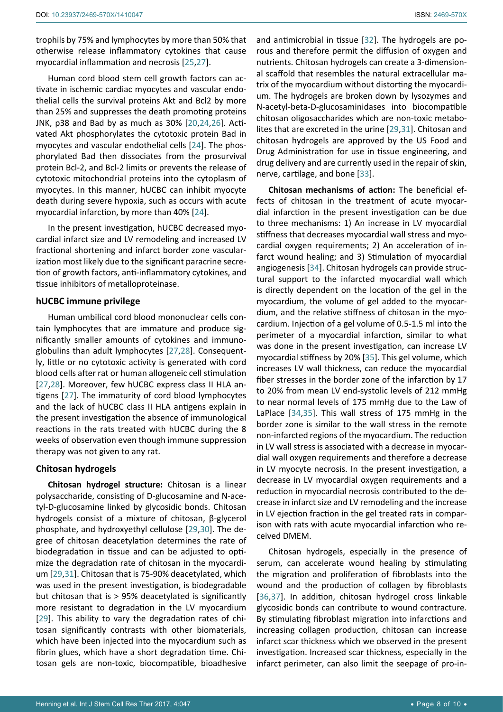trophils by 75% and lymphocytes by more than 50% that otherwise release inflammatory cytokines that cause myocardial inflammation and necrosis [[25](#page-9-7),[27\]](#page-9-19).

Human cord blood stem cell growth factors can activate in ischemic cardiac myocytes and vascular endothelial cells the survival proteins Akt and Bcl2 by more than 25% and suppresses the death promoting proteins JNK, p38 and Bad by as much as 30% [[20,](#page-9-3)[24](#page-9-6),[26](#page-9-8)]. Activated Akt phosphorylates the cytotoxic protein Bad in myocytes and vascular endothelial cells [[24\]](#page-9-6). The phosphorylated Bad then dissociates from the prosurvival protein Bcl-2, and Bcl-2 limits or prevents the release of cytotoxic mitochondrial proteins into the cytoplasm of myocytes. In this manner, hUCBC can inhibit myocyte death during severe hypoxia, such as occurs with acute myocardial infarction, by more than 40% [\[24](#page-9-6)].

In the present investigation, hUCBC decreased myocardial infarct size and LV remodeling and increased LV fractional shortening and infarct border zone vascularization most likely due to the significant paracrine secretion of growth factors, anti-inflammatory cytokines, and tissue inhibitors of metalloproteinase.

#### **hUCBC immune privilege**

Human umbilical cord blood mononuclear cells contain lymphocytes that are immature and produce significantly smaller amounts of cytokines and immunoglobulins than adult lymphocytes [[27](#page-9-19),[28](#page-9-20)]. Consequently, little or no cytotoxic activity is generated with cord blood cells after rat or human allogeneic cell stimulation [[27](#page-9-19),[28\]](#page-9-20). Moreover, few hUCBC express class II HLA antigens [[27](#page-9-19)]. The immaturity of cord blood lymphocytes and the lack of hUCBC class II HLA antigens explain in the present investigation the absence of immunological reactions in the rats treated with hUCBC during the 8 weeks of observation even though immune suppression therapy was not given to any rat.

#### **Chitosan hydrogels**

**Chitosan hydrogel structure:** Chitosan is a linear polysaccharide, consisting of D-glucosamine and N-acetyl-D-glucosamine linked by glycosidic bonds. Chitosan hydrogels consist of a mixture of chitosan, β-glycerol phosphate, and hydroxyethyl cellulose [[29](#page-9-12),[30](#page-9-21)]. The degree of chitosan deacetylation determines the rate of biodegradation in tissue and can be adjusted to optimize the degradation rate of chitosan in the myocardium [[29](#page-9-12),[31\]](#page-9-13). Chitosan that is 75-90% deacetylated, which was used in the present investigation, is biodegradable but chitosan that is > 95% deacetylated is significantly more resistant to degradation in the LV myocardium [[29](#page-9-12)]. This ability to vary the degradation rates of chitosan significantly contrasts with other biomaterials, which have been injected into the myocardium such as fibrin glues, which have a short degradation time. Chitosan gels are non-toxic, biocompatible, bioadhesive

and antimicrobial in tissue [\[32](#page-9-11)]. The hydrogels are porous and therefore permit the diffusion of oxygen and nutrients. Chitosan hydrogels can create a 3-dimensional scaffold that resembles the natural extracellular matrix of the myocardium without distorting the myocardium. The hydrogels are broken down by lysozymes and N-acetyl-beta-D-glucosaminidases into biocompatible chitosan oligosaccharides which are non-toxic metabolites that are excreted in the urine [[29](#page-9-12),[31](#page-9-13)]. Chitosan and chitosan hydrogels are approved by the US Food and Drug Administration for use in tissue engineering, and drug delivery and are currently used in the repair of skin, nerve, cartilage, and bone [[33](#page-9-14)].

**Chitosan mechanisms of action:** The beneficial effects of chitosan in the treatment of acute myocardial infarction in the present investigation can be due to three mechanisms: 1) An increase in LV myocardial stiffness that decreases myocardial wall stress and myocardial oxygen requirements; 2) An acceleration of infarct wound healing; and 3) Stimulation of myocardial angiogenesis [[34\]](#page-9-15). Chitosan hydrogels can provide structural support to the infarcted myocardial wall which is directly dependent on the location of the gel in the myocardium, the volume of gel added to the myocardium, and the relative stiffness of chitosan in the myocardium. Injection of a gel volume of 0.5-1.5 ml into the perimeter of a myocardial infarction, similar to what was done in the present investigation, can increase LV myocardial stiffness by 20% [\[35](#page-9-16)]. This gel volume, which increases LV wall thickness, can reduce the myocardial fiber stresses in the border zone of the infarction by 17 to 20% from mean LV end-systolic levels of 212 mmHg to near normal levels of 175 mmHg due to the Law of LaPlace [[34](#page-9-15),[35](#page-9-16)]. This wall stress of 175 mmHg in the border zone is similar to the wall stress in the remote non-infarcted regions of the myocardium. The reduction in LV wall stress is associated with a decrease in myocardial wall oxygen requirements and therefore a decrease in LV myocyte necrosis. In the present investigation, a decrease in LV myocardial oxygen requirements and a reduction in myocardial necrosis contributed to the decrease in infarct size and LV remodeling and the increase in LV ejection fraction in the gel treated rats in comparison with rats with acute myocardial infarction who received DMEM.

Chitosan hydrogels, especially in the presence of serum, can accelerate wound healing by stimulating the migration and proliferation of fibroblasts into the wound and the production of collagen by fibroblasts [[36](#page-9-17),[37](#page-9-18)]. In addition, chitosan hydrogel cross linkable glycosidic bonds can contribute to wound contracture. By stimulating fibroblast migration into infarctions and increasing collagen production, chitosan can increase infarct scar thickness which we observed in the present investigation. Increased scar thickness, especially in the infarct perimeter, can also limit the seepage of pro-in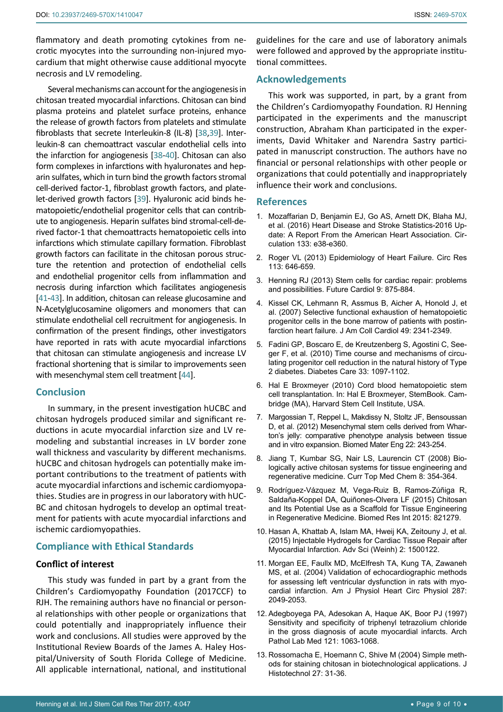flammatory and death promoting cytokines from necrotic myocytes into the surrounding non-injured myocardium that might otherwise cause additional myocyte necrosis and LV remodeling.

Several mechanisms can account for the angiogenesis in chitosan treated myocardial infarctions. Chitosan can bind plasma proteins and platelet surface proteins, enhance the release of growth factors from platelets and stimulate fibroblasts that secrete Interleukin-8 (IL-8) [\[38](#page-9-22),[39](#page-9-23)]. Interleukin-8 can chemoattract vascular endothelial cells into the infarction for angiogenesis [[38](#page-9-22)-[40](#page-9-24)]. Chitosan can also form complexes in infarctions with hyaluronates and heparin sulfates, which in turn bind the growth factors stromal cell-derived factor-1, fibroblast growth factors, and platelet-derived growth factors [\[39](#page-9-23)]. Hyaluronic acid binds hematopoietic/endothelial progenitor cells that can contribute to angiogenesis. Heparin sulfates bind stromal-cell-derived factor-1 that chemoattracts hematopoietic cells into infarctions which stimulate capillary formation. Fibroblast growth factors can facilitate in the chitosan porous structure the retention and protection of endothelial cells and endothelial progenitor cells from inflammation and necrosis during infarction which facilitates angiogenesis [[41](#page-9-25)-[43](#page-9-26)]. In addition, chitosan can release glucosamine and N-Acetylglucosamine oligomers and monomers that can stimulate endothelial cell recruitment for angiogenesis. In confirmation of the present findings, other investigators have reported in rats with acute myocardial infarctions that chitosan can stimulate angiogenesis and increase LV fractional shortening that is similar to improvements seen with mesenchymal stem cell treatment [[44](#page-9-27)].

### **Conclusion**

In summary, in the present investigation hUCBC and chitosan hydrogels produced similar and significant reductions in acute myocardial infarction size and LV remodeling and substantial increases in LV border zone wall thickness and vascularity by different mechanisms. hUCBC and chitosan hydrogels can potentially make important contributions to the treatment of patients with acute myocardial infarctions and ischemic cardiomyopathies. Studies are in progress in our laboratory with hUC-BC and chitosan hydrogels to develop an optimal treatment for patients with acute myocardial infarctions and ischemic cardiomyopathies.

# **Compliance with Ethical Standards**

#### **Conflict of interest**

This study was funded in part by a grant from the Children's Cardiomyopathy Foundation (2017CCF) to RJH. The remaining authors have no financial or personal relationships with other people or organizations that could potentially and inappropriately influence their work and conclusions. All studies were approved by the Institutional Review Boards of the James A. Haley Hospital/University of South Florida College of Medicine. All applicable international, national, and institutional

guidelines for the care and use of laboratory animals were followed and approved by the appropriate institutional committees.

## **Acknowledgements**

This work was supported, in part, by a grant from the Children's Cardiomyopathy Foundation. RJ Henning participated in the experiments and the manuscript construction, Abraham Khan participated in the experiments, David Whitaker and Narendra Sastry participated in manuscript construction. The authors have no financial or personal relationships with other people or organizations that could potentially and inappropriately influence their work and conclusions.

#### **References**

- <span id="page-8-0"></span>1. [Mozaffarian D, Benjamin EJ, Go AS, Arnett DK, Blaha MJ,](https://www.ncbi.nlm.nih.gov/pubmed/26673558)  [et al. \(2016\) Heart Disease and Stroke Statistics-2016 Up](https://www.ncbi.nlm.nih.gov/pubmed/26673558)[date: A Report From the American Heart Association. Cir](https://www.ncbi.nlm.nih.gov/pubmed/26673558)[culation 133: e38-e360.](https://www.ncbi.nlm.nih.gov/pubmed/26673558)
- <span id="page-8-1"></span>2. [Roger VL \(2013\) Epidemiology of Heart Failure. Circ Res](https://www.ncbi.nlm.nih.gov/pubmed/23989710)  [113: 646-659.](https://www.ncbi.nlm.nih.gov/pubmed/23989710)
- <span id="page-8-2"></span>3. [Henning RJ \(2013\) Stem cells for cardiac repair: problems](https://www.ncbi.nlm.nih.gov/pubmed/24180543)  [and possibilities. Future Cardiol 9: 875-884.](https://www.ncbi.nlm.nih.gov/pubmed/24180543)
- <span id="page-8-3"></span>4. [Kissel CK, Lehmann R, Assmus B, Aicher A, Honold J, et](https://www.ncbi.nlm.nih.gov/pubmed/17572250)  [al. \(2007\) Selective functional exhaustion of hematopoietic](https://www.ncbi.nlm.nih.gov/pubmed/17572250)  [progenitor cells in the bone marrow of patients with postin](https://www.ncbi.nlm.nih.gov/pubmed/17572250)[farction heart failure. J Am Coll Cardiol 49: 2341-2349.](https://www.ncbi.nlm.nih.gov/pubmed/17572250)
- <span id="page-8-4"></span>5. [Fadini GP, Boscaro E, de Kreutzenberg S, Agostini C, See](https://www.ncbi.nlm.nih.gov/pubmed/20150295)[ger F, et al. \(2010\) Time course and mechanisms of circu](https://www.ncbi.nlm.nih.gov/pubmed/20150295)[lating progenitor cell reduction in the natural history of Type](https://www.ncbi.nlm.nih.gov/pubmed/20150295)  [2 diabetes. Diabetes Care 33: 1097-1102.](https://www.ncbi.nlm.nih.gov/pubmed/20150295)
- <span id="page-8-5"></span>6. [Hal E Broxmeyer \(2010\) Cord blood hematopoietic stem](https://www.ncbi.nlm.nih.gov/books/NBK44751/)  [cell transplantation. In: Hal E Broxmeyer, StemBook. Cam](https://www.ncbi.nlm.nih.gov/books/NBK44751/)[bridge \(MA\), Harvard Stem Cell Institute, USA.](https://www.ncbi.nlm.nih.gov/books/NBK44751/)
- <span id="page-8-6"></span>7. [Margossian T, Reppel L, Makdissy N, Stoltz JF, Bensoussan](https://www.ncbi.nlm.nih.gov/pubmed/22785368)  [D, et al. \(2012\) Mesenchymal stem cells derived from Whar](https://www.ncbi.nlm.nih.gov/pubmed/22785368)[ton's jelly: comparative phenotype analysis between tissue](https://www.ncbi.nlm.nih.gov/pubmed/22785368)  [and in vitro expansion. Biomed Mater Eng 22: 243-254.](https://www.ncbi.nlm.nih.gov/pubmed/22785368)
- <span id="page-8-7"></span>8. [Jiang T, Kumbar SG, Nair LS, Laurencin CT \(2008\) Bio](https://www.ncbi.nlm.nih.gov/pubmed/18393897)[logically active chitosan systems for tissue engineering and](https://www.ncbi.nlm.nih.gov/pubmed/18393897)  [regenerative medicine. Curr Top Med Chem 8: 354-364.](https://www.ncbi.nlm.nih.gov/pubmed/18393897)
- <span id="page-8-8"></span>9. [Rodríguez-Vázquez M, Vega-Ruiz B, Ramos-Zúñiga R,](https://www.ncbi.nlm.nih.gov/pubmed/26504833)  [Saldaña-Koppel DA, Quiñones-Olvera LF \(2015\) Chitosan](https://www.ncbi.nlm.nih.gov/pubmed/26504833)  [and Its Potential Use as a Scaffold for Tissue Engineering](https://www.ncbi.nlm.nih.gov/pubmed/26504833)  [in Regenerative Medicine. Biomed Res Int 2015: 821279.](https://www.ncbi.nlm.nih.gov/pubmed/26504833)
- <span id="page-8-9"></span>10. [Hasan A, Khattab A, Islam MA, Hweij KA, Zeitouny J, et al.](https://www.ncbi.nlm.nih.gov/pubmed/27668147)  [\(2015\) Injectable Hydrogels for Cardiac Tissue Repair after](https://www.ncbi.nlm.nih.gov/pubmed/27668147)  [Myocardial Infarction. Adv Sci \(Weinh\) 2: 1500122.](https://www.ncbi.nlm.nih.gov/pubmed/27668147)
- <span id="page-8-10"></span>11. [Morgan EE, Faullx MD, McElfresh TA, Kung TA, Zawaneh](https://www.ncbi.nlm.nih.gov/pubmed/15475530)  [MS, et al. \(2004\) Validation of echocardiographic methods](https://www.ncbi.nlm.nih.gov/pubmed/15475530)  [for assessing left ventricular dysfunction in rats with myo](https://www.ncbi.nlm.nih.gov/pubmed/15475530)[cardial infarction. Am J Physiol Heart Circ Physiol 287:](https://www.ncbi.nlm.nih.gov/pubmed/15475530)  [2049-2053.](https://www.ncbi.nlm.nih.gov/pubmed/15475530)
- <span id="page-8-11"></span>12. [Adegboyega PA, Adesokan A, Haque AK, Boor PJ \(1997\)](https://www.ncbi.nlm.nih.gov/pubmed/9341585)  [Sensitivity and specificity of triphenyl tetrazolium chloride](https://www.ncbi.nlm.nih.gov/pubmed/9341585)  [in the gross diagnosis of acute myocardial infarcts. Arch](https://www.ncbi.nlm.nih.gov/pubmed/9341585)  [Pathol Lab Med 121: 1063-1068.](https://www.ncbi.nlm.nih.gov/pubmed/9341585)
- <span id="page-8-12"></span>13. [Rossomacha E, Hoemann C, Shive M \(2004\) Simple meth](http://www.tandfonline.com/doi/abs/10.1179/his.2004.27.1.31?journalCode=yhis20)[ods for staining chitosan in biotechnological applications. J](http://www.tandfonline.com/doi/abs/10.1179/his.2004.27.1.31?journalCode=yhis20)  [Histotechnol 27: 31-36.](http://www.tandfonline.com/doi/abs/10.1179/his.2004.27.1.31?journalCode=yhis20)